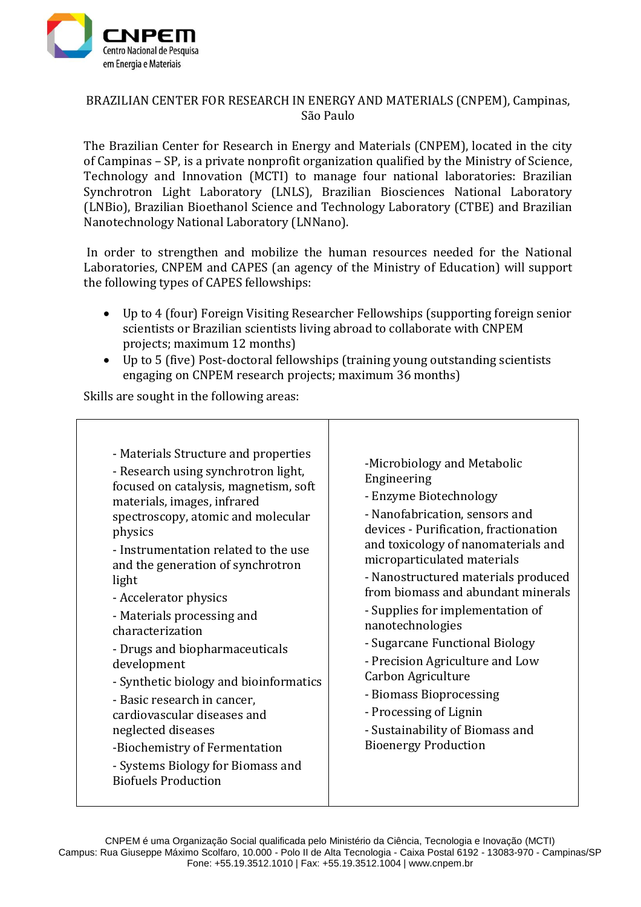

## BRAZILIAN CENTER FOR RESEARCH IN ENERGY AND MATERIALS (CNPEM), Campinas, São Paulo

The Brazilian Center for Research in Energy and Materials (CNPEM), located in the city of Campinas – SP, is a private nonprofit organization qualified by the Ministry of Science, Technology and Innovation (MCTI) to manage four national laboratories: Brazilian Synchrotron Light Laboratory (LNLS), Brazilian Biosciences National Laboratory (LNBio), Brazilian Bioethanol Science and Technology Laboratory (CTBE) and Brazilian Nanotechnology National Laboratory (LNNano).

In order to strengthen and mobilize the human resources needed for the National Laboratories, CNPEM and CAPES (an agency of the Ministry of Education) will support the following types of CAPES fellowships:

- Up to 4 (four) Foreign Visiting Researcher Fellowships (supporting foreign senior scientists or Brazilian scientists living abroad to collaborate with CNPEM projects; maximum 12 months)
- Up to 5 (five) Post-doctoral fellowships (training young outstanding scientists engaging on CNPEM research projects; maximum 36 months)

Skills are sought in the following areas: